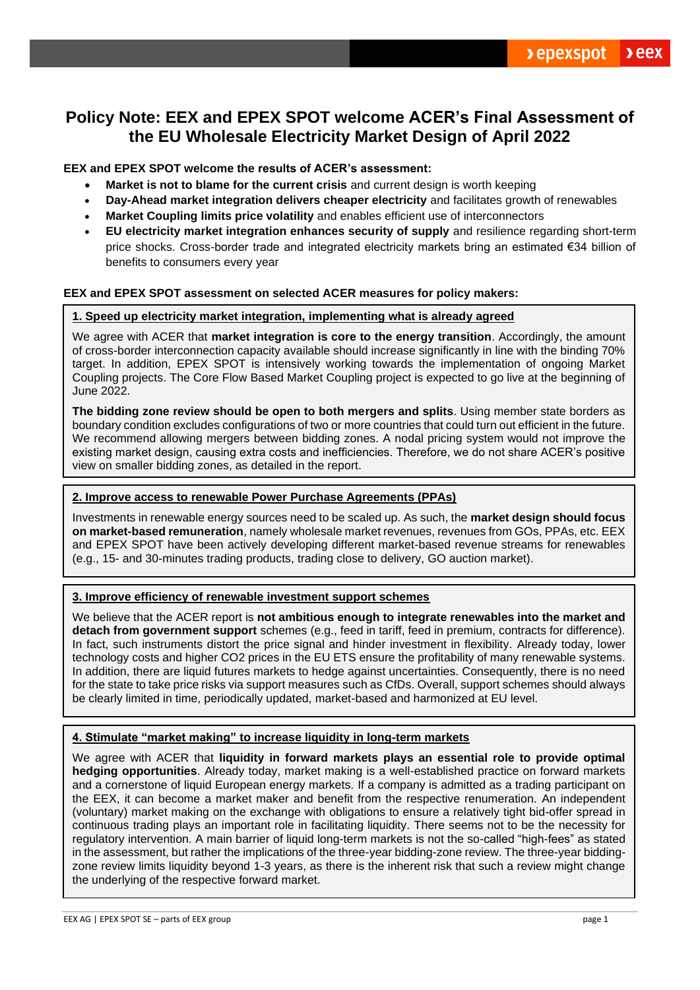# **Policy Note: EEX and EPEX SPOT welcome ACER's Final Assessment of the EU Wholesale Electricity Market Design of April 2022**

**EEX and EPEX SPOT welcome the results of ACER's assessment:**

- **Market is not to blame for the current crisis** and current design is worth keeping
- **Day-Ahead market integration delivers cheaper electricity** and facilitates growth of renewables
- **Market Coupling limits price volatility** and enables efficient use of interconnectors
- **EU electricity market integration enhances security of supply** and resilience regarding short-term price shocks. Cross-border trade and integrated electricity markets bring an estimated €34 billion of benefits to consumers every year

# **EEX and EPEX SPOT assessment on selected ACER measures for policy makers:**

## **1. Speed up electricity market integration, implementing what is already agreed**

We agree with ACER that **market integration is core to the energy transition**. Accordingly, the amount of cross-border interconnection capacity available should increase significantly in line with the binding 70% target. In addition, EPEX SPOT is intensively working towards the implementation of ongoing Market Coupling projects. The Core Flow Based Market Coupling project is expected to go live at the beginning of June 2022.

**The bidding zone review should be open to both mergers and splits**. Using member state borders as boundary condition excludes configurations of two or more countries that could turn out efficient in the future. We recommend allowing mergers between bidding zones. A nodal pricing system would not improve the existing market design, causing extra costs and inefficiencies. Therefore, we do not share ACER's positive view on smaller bidding zones, as detailed in the report.

### **2. Improve access to renewable Power Purchase Agreements (PPAs)**

Investments in renewable energy sources need to be scaled up. As such, the **market design should focus on market-based remuneration**, namely wholesale market revenues, revenues from GOs, PPAs, etc. EEX and EPEX SPOT have been actively developing different market-based revenue streams for renewables (e.g., 15- and 30-minutes trading products, trading close to delivery, GO auction market).

# **3. Improve efficiency of renewable investment support schemes**

We believe that the ACER report is **not ambitious enough to integrate renewables into the market and detach from government support** schemes (e.g., feed in tariff, feed in premium, contracts for difference). In fact, such instruments distort the price signal and hinder investment in flexibility. Already today, lower technology costs and higher CO2 prices in the EU ETS ensure the profitability of many renewable systems. In addition, there are liquid futures markets to hedge against uncertainties. Consequently, there is no need for the state to take price risks via support measures such as CfDs. Overall, support schemes should always be clearly limited in time, periodically updated, market-based and harmonized at EU level.

# **4. Stimulate "market making" to increase liquidity in long-term markets**

We agree with ACER that **liquidity in forward markets plays an essential role to provide optimal hedging opportunities**. Already today, market making is a well-established practice on forward markets and a cornerstone of liquid European energy markets. If a company is admitted as a trading participant on the EEX, it can become a market maker and benefit from the respective renumeration. An independent (voluntary) market making on the exchange with obligations to ensure a relatively tight bid-offer spread in continuous trading plays an important role in facilitating liquidity. There seems not to be the necessity for regulatory intervention. A main barrier of liquid long-term markets is not the so-called "high-fees" as stated in the assessment, but rather the implications of the three-year bidding-zone review. The three-year biddingzone review limits liquidity beyond 1-3 years, as there is the inherent risk that such a review might change the underlying of the respective forward market.